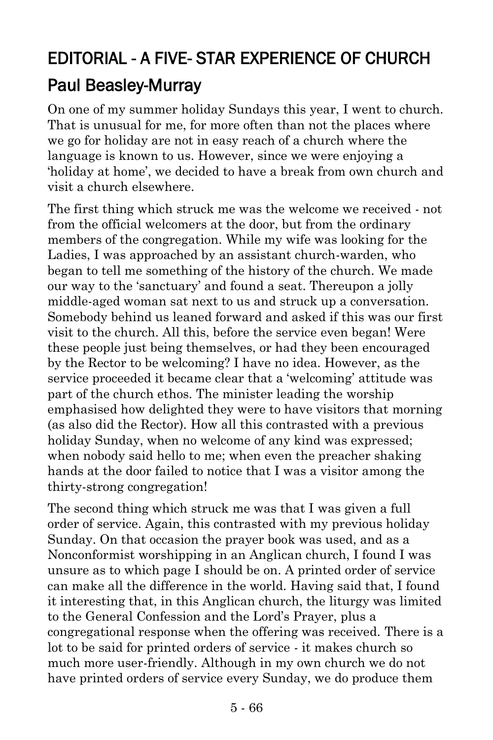## EDITORIAL - A FIVE- STAR EXPERIENCE OF CHURCH [Paul Beasley-Murray](https://www.ministrytoday.org.uk/magazine/authors/423/)

On one of my summer holiday Sundays this year, I went to church. That is unusual for me, for more often than not the places where we go for holiday are not in easy reach of a church where the language is known to us. However, since we were enjoying a 'holiday at home', we decided to have a break from own church and visit a church elsewhere.

The first thing which struck me was the welcome we received - not from the official welcomers at the door, but from the ordinary members of the congregation. While my wife was looking for the Ladies, I was approached by an assistant church-warden, who began to tell me something of the history of the church. We made our way to the 'sanctuary' and found a seat. Thereupon a jolly middle-aged woman sat next to us and struck up a conversation. Somebody behind us leaned forward and asked if this was our first visit to the church. All this, before the service even began! Were these people just being themselves, or had they been encouraged by the Rector to be welcoming? I have no idea. However, as the service proceeded it became clear that a 'welcoming' attitude was part of the church ethos. The minister leading the worship emphasised how delighted they were to have visitors that morning (as also did the Rector). How all this contrasted with a previous holiday Sunday, when no welcome of any kind was expressed; when nobody said hello to me; when even the preacher shaking hands at the door failed to notice that I was a visitor among the thirty-strong congregation!

The second thing which struck me was that I was given a full order of service. Again, this contrasted with my previous holiday Sunday. On that occasion the prayer book was used, and as a Nonconformist worshipping in an Anglican church, I found I was unsure as to which page I should be on. A printed order of service can make all the difference in the world. Having said that, I found it interesting that, in this Anglican church, the liturgy was limited to the General Confession and the Lord's Prayer, plus a congregational response when the offering was received. There is a lot to be said for printed orders of service - it makes church so much more user-friendly. Although in my own church we do not have printed orders of service every Sunday, we do produce them